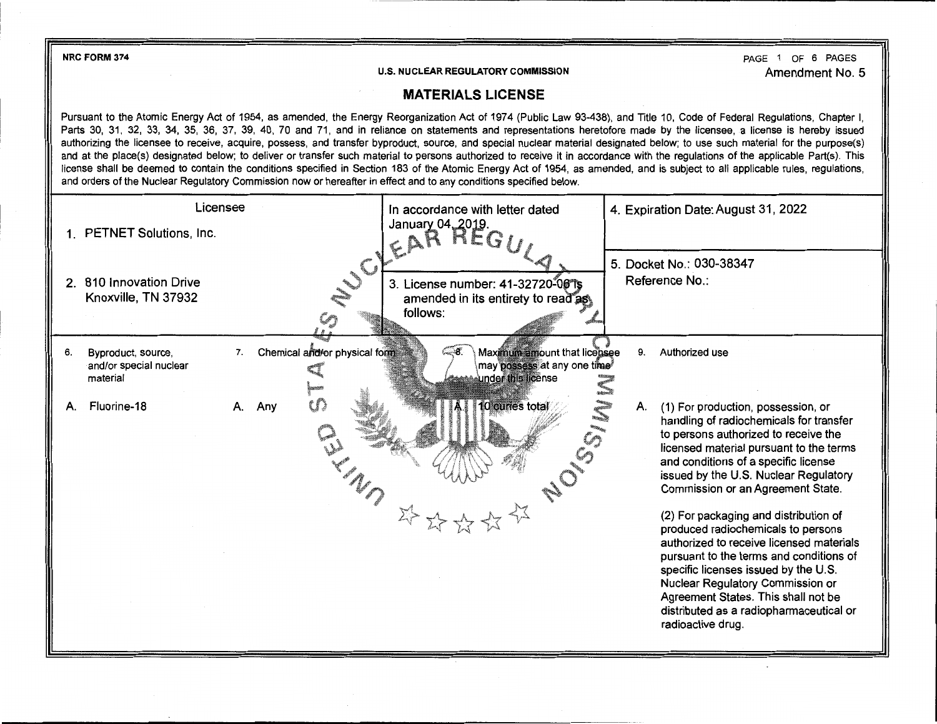**NRC FORM 374** 

**U.S. NUCLEAR REGULATORY COMMISSION** 

PAGE 1 OF 6 PAGES Amendment No. 5

## **MATERIALS LICENSE**

Pursuant to the Atomic Energy Act of 1954, as amended, the Energy Reorganization Act of 1974 (Public Law 93-438), and Title 10, Code of Federal Regulations, Chapter I, Parts 30, 31, 32, 33, 34, 35, 36, 37, 39, 40, 70 and 71, and in reliance on statements and representations heretofore made by the licensee, a license is hereby issued authorizing the licensee to receive, acquire, possess, and transfer byproduct, source, and special nuclear material designated below; to use such material for the purpose(s) and at the place(s) designated below; to deliver or transfer such material to persons authorized to receive it in accordance with the regulations of the applicable Part(s). This license shall be deemed to contain the conditions specified in Section 183 of the Atomic Energy Act of 1954, as amended, and is subject to all applicable rules, regulations, and orders of the Nuclear Regulatory Commission now or hereafter in effect and to any conditions specified below.

| Licensee       |                                                          |    | In accordance with letter dated |                               |                                   | 4. Expiration Date: August 31, 2022 |                                                                                                |  |    |                                                                                                                                                                                                                                                                                        |
|----------------|----------------------------------------------------------|----|---------------------------------|-------------------------------|-----------------------------------|-------------------------------------|------------------------------------------------------------------------------------------------|--|----|----------------------------------------------------------------------------------------------------------------------------------------------------------------------------------------------------------------------------------------------------------------------------------------|
|                | 1. PETNET Solutions, Inc.                                |    |                                 |                               | January 04, 2019.<br>EAR REG.     |                                     |                                                                                                |  |    |                                                                                                                                                                                                                                                                                        |
| 2 <sub>1</sub> | 810 Innovation Drive                                     |    |                                 | UCY.                          | 3. License number: 41-32720-06 1s |                                     |                                                                                                |  |    | 5. Docket No.: 030-38347<br>Reference No.:                                                                                                                                                                                                                                             |
|                | Knoxville, TN 37932                                      |    |                                 |                               | follows:                          |                                     | amended in its entirety to read as                                                             |  |    |                                                                                                                                                                                                                                                                                        |
| 6.             | Byproduct, source,<br>and/or special nuclear<br>material | 7. |                                 | Chemical and/or physical form | ີ 8                               |                                     | Maximum amount that licensee<br>may possess at any one time <sup>s</sup><br>under this license |  | 9. | Authorized use                                                                                                                                                                                                                                                                         |
| А.             | Fluorine-18                                              | А. | Any                             |                               |                                   | 10 curies total                     | SSIM                                                                                           |  | Α. | (1) For production, possession, or<br>handling of radiochemicals for transfer<br>to persons authorized to receive the<br>licensed material pursuant to the terms<br>and conditions of a specific license<br>issued by the U.S. Nuclear Regulatory<br>Commission or an Agreement State. |
|                |                                                          |    |                                 |                               |                                   |                                     |                                                                                                |  |    | (2) For packaging and distribution of<br>produced radiochemicals to persons<br>authorized to receive licensed materials<br>pursuant to the terms and conditions of<br>specific licenses issued by the U.S.<br>Nuclear Regulatory Commission or<br>Agreement States. This shall not be  |
|                |                                                          |    |                                 |                               |                                   |                                     |                                                                                                |  |    | distributed as a radiopharmaceutical or<br>radioactive drug.                                                                                                                                                                                                                           |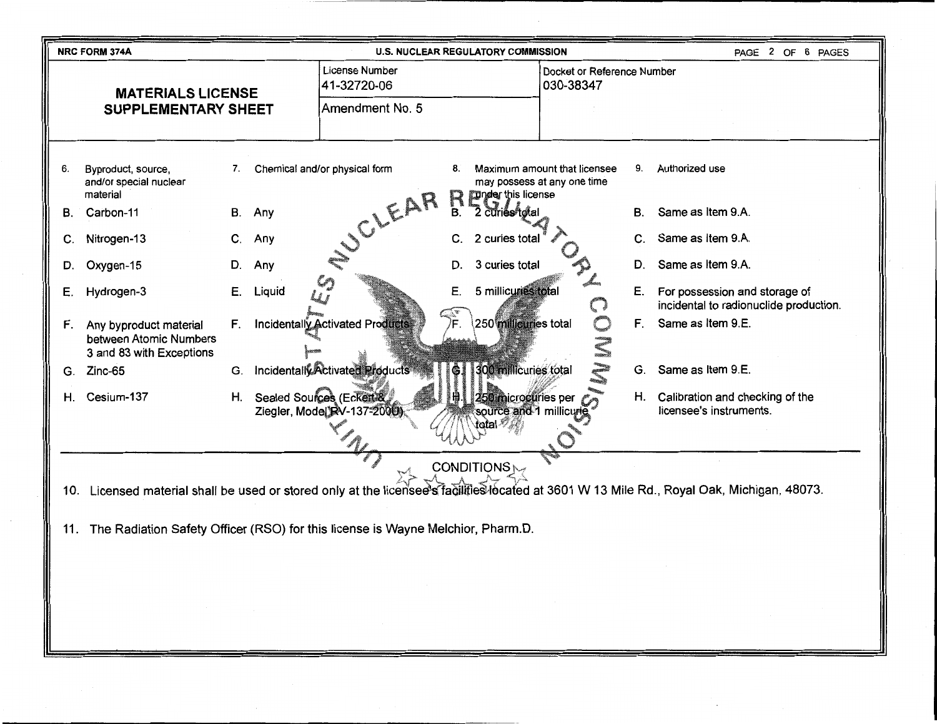|                                                        | <b>NRC FORM 374A</b><br><b>U.S. NUCLEAR REGULATORY COMMISSION</b><br>PAGE 2 OF 6 PAGES                                                        |              |                                                         |                                               |                                                  |                                                             |           |                                                                         |
|--------------------------------------------------------|-----------------------------------------------------------------------------------------------------------------------------------------------|--------------|---------------------------------------------------------|-----------------------------------------------|--------------------------------------------------|-------------------------------------------------------------|-----------|-------------------------------------------------------------------------|
| <b>MATERIALS LICENSE</b><br><b>SUPPLEMENTARY SHEET</b> |                                                                                                                                               |              | License Number<br>41-32720-06                           |                                               |                                                  | Docket or Reference Number<br>030-38347                     |           |                                                                         |
|                                                        |                                                                                                                                               |              | Amendment No. 5                                         |                                               |                                                  |                                                             |           |                                                                         |
|                                                        |                                                                                                                                               |              |                                                         |                                               |                                                  |                                                             |           |                                                                         |
| 6.                                                     | Byproduct, source,<br>and/or special nuclear<br>material                                                                                      | 7.           | Chemical and/or physical form                           | 8.                                            | <b>Inder this license</b>                        | Maximum amount that licensee<br>may possess at any one time | 9.        | Authorized use                                                          |
| В.                                                     | Carbon-11                                                                                                                                     | В.<br>Any    |                                                         | B.                                            | 2 curies total                                   |                                                             | <b>B.</b> | Same as Item 9.A.                                                       |
| C.                                                     | Nitrogen-13                                                                                                                                   | C.<br>Any    | JOLEAR                                                  | C.                                            | 2 curies total                                   |                                                             | C.        | Same as Item 9.A.                                                       |
| D.                                                     | Oxygen-15                                                                                                                                     | Any<br>D.    |                                                         | D.                                            | 3 curies total                                   |                                                             | D.        | Same as Item 9.A.                                                       |
| Е.                                                     | Hydrogen-3                                                                                                                                    | Liquid<br>Е. |                                                         | Ε.                                            | 5 millicuries total                              |                                                             | Ε.        | For possession and storage of<br>incidental to radionuclide production. |
| F.                                                     | Any byproduct material<br>between Atomic Numbers<br>3 and 83 with Exceptions                                                                  | F.           | Incidentally Activated Products                         | $\widehat{\widetilde{\gamma^*_{\mathbf{F}}}}$ | 250 millicuries total                            |                                                             | F.        | Same as Item 9.E.                                                       |
| G.                                                     | Zinc-65                                                                                                                                       | G.           | Incidentally Activated Products                         | G                                             | 300 millicuries total                            |                                                             | G.        | Same as Item 9.E.                                                       |
| Η.                                                     | Cesium-137                                                                                                                                    | Н.           | Sealed Sources (Eckert &<br>Ziegler, Model RV-137-2000) |                                               | H 250 microcuries per<br>source and 1 millicurie |                                                             | Н.        | Calibration and checking of the<br>licensee's instruments.              |
|                                                        |                                                                                                                                               |              |                                                         |                                               |                                                  |                                                             |           |                                                                         |
|                                                        |                                                                                                                                               |              |                                                         |                                               | CONDITIONS <sub>N</sub>                          |                                                             |           |                                                                         |
|                                                        | Licensed material shall be used or stored only at the licensee's facilities located at 3601 W 13 Mile Rd., Royal Oak, Michigan, 48073.<br>10. |              |                                                         |                                               |                                                  |                                                             |           |                                                                         |
|                                                        | 11. The Radiation Safety Officer (RSO) for this license is Wayne Melchior, Pharm.D.                                                           |              |                                                         |                                               |                                                  |                                                             |           |                                                                         |
|                                                        |                                                                                                                                               |              |                                                         |                                               |                                                  |                                                             |           |                                                                         |
|                                                        |                                                                                                                                               |              |                                                         |                                               |                                                  |                                                             |           |                                                                         |
|                                                        |                                                                                                                                               |              |                                                         |                                               |                                                  |                                                             |           |                                                                         |
|                                                        |                                                                                                                                               |              |                                                         |                                               |                                                  |                                                             |           |                                                                         |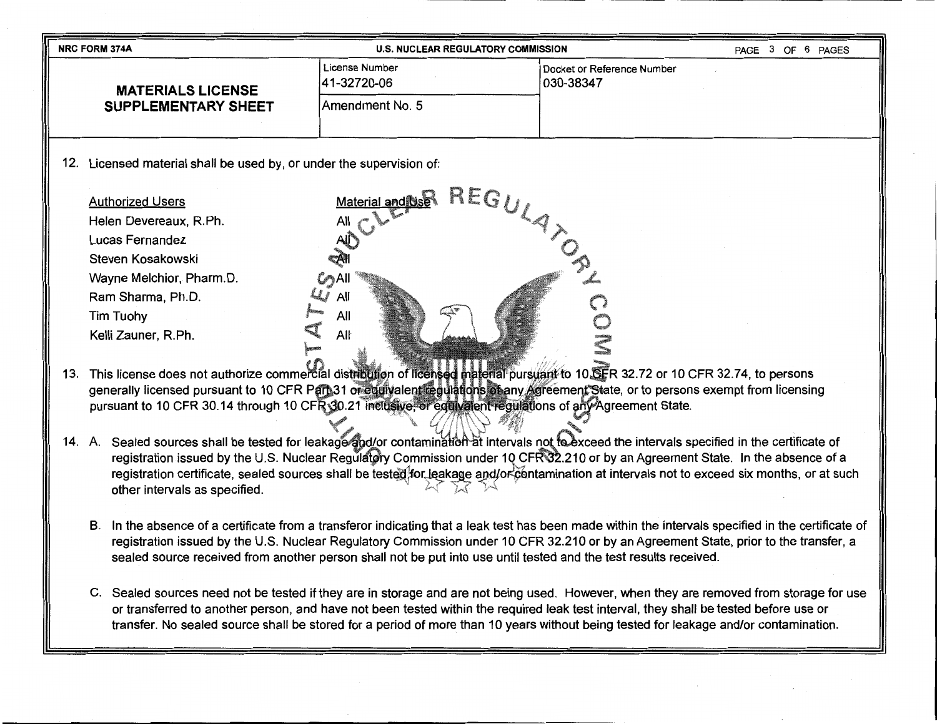| <b>NRC FORM 374A</b>                                                    |                                | <b>U.S. NUCLEAR REGULATORY COMMISSION</b> |  |  |  |  |  |  |
|-------------------------------------------------------------------------|--------------------------------|-------------------------------------------|--|--|--|--|--|--|
| <b>MATERIALS LICENSE</b>                                                | License Number<br>41-32720-06  | Docket or Reference Number<br>030-38347   |  |  |  |  |  |  |
| <b>SUPPLEMENTARY SHEET</b>                                              | Amendment No. 5                |                                           |  |  |  |  |  |  |
| 12.<br>Licensed material shall be used by, or under the supervision of: |                                |                                           |  |  |  |  |  |  |
| <b>Authorized Users</b>                                                 | $REG_{IJ}$<br>Material and Use |                                           |  |  |  |  |  |  |
| Helen Devereaux, R.Ph.                                                  | All                            |                                           |  |  |  |  |  |  |
| Lucas Fernandez                                                         | AU                             |                                           |  |  |  |  |  |  |
| Steven Kosakowski                                                       | ₹A¶                            |                                           |  |  |  |  |  |  |

Kelli Zauner, R.Ph. Alŀ 13. This license does not authorize commercial distribution of licensed material pursuant to 10.CFR 32.72 or 10 CFR 32.74, to persons

All

Wayne Melchior, Pharm.D.

Ram Sharma, Ph.D.

Tim Tuohy

- generally licensed pursuant to 10 CFR Pan 31 or equivalent regulations of any Agreement State, or to persons exempt from licensing pursuant to 10 CFR 30.14 through 10 CFR 30.21 inclusive, or equivalent regulations of any Agreement State.
- 14. A. Sealed sources shall be tested for leakage and/or contamination at intervals not to exceed the intervals specified in the certificate of registration issued by the U.S. Nuclear Regulatery Commission under 10 CFR32.210 or by an Agreement State. In the absence of a registration certificate, sealed sources shall be tested for leakage and/or contamination at intervals not to exceed six months, or at such other intervals as specified.
	- B. In the absence of a certificate from a transferor indicating that a leak test has been made within the intervals specified in the certificate of registration issued by the U.S. Nuclear Regulatory Commission under 10 CFR 32.210 or by an Agreement State, prior to the transfer, a sealed source received from another person shall not be put into use until tested and the test results received.
	- C. Sealed sources need not be tested if they are in storage and are not being used. However, when they are removed from storage for use or transferred to another person, and have not been tested within the required leak test interval, they shall be tested before use or transfer. No sealed source shall be stored for a period of more than 10 years without being tested for leakage and/or contamination.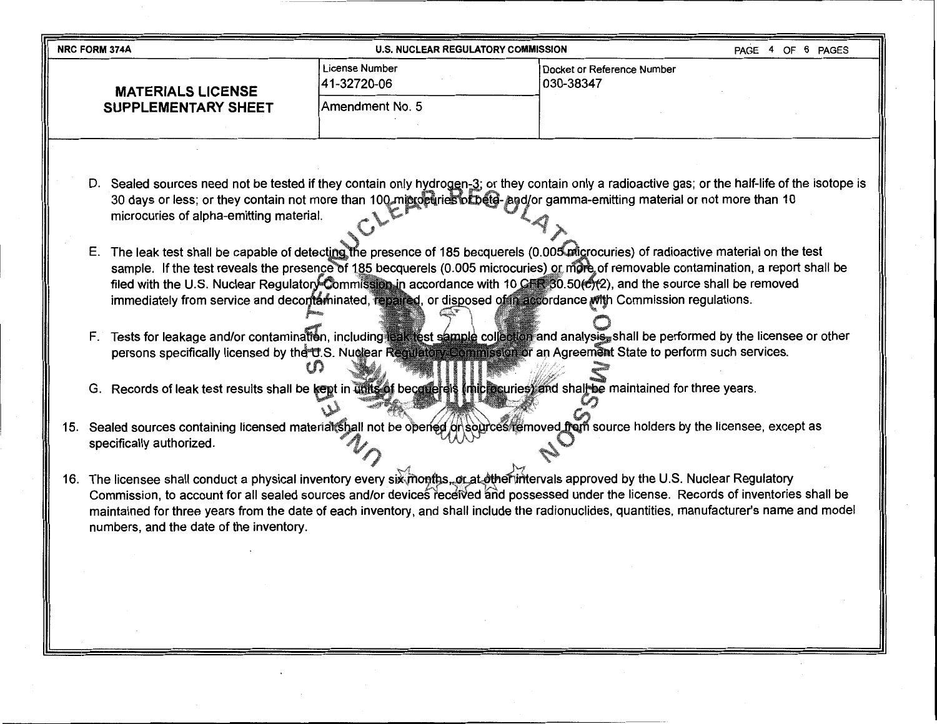| <b>NRC FORM 374A</b>       | <b>U.S. NUCLEAR REGULATORY COMMISSION</b> | 6 PAGES<br><b>PAGE</b><br>4 OF          |  |
|----------------------------|-------------------------------------------|-----------------------------------------|--|
| <b>MATERIALS LICENSE</b>   | License Number<br>41-32720-06             | Docket or Reference Number<br>030-38347 |  |
| <b>SUPPLEMENTARY SHEET</b> | lAmendment No. 5                          |                                         |  |
|                            |                                           |                                         |  |

- D. Sealed sources need not be tested if they contain only hydrogen-3; or they contain only a radioactive gas; or the half-life of the isotope is 30 days or less; or they contain not more than 100 microeuries of beta-and/or gamma-emitting material or not more than 10 microcuries of alpha-emitting material.
- E. The leak test shall be capable of detecting the presence of 185 becquerels (0.005 migrocuries) of radioactive material on the test sample. If the test reveals the presence of 185 becquerels (0.005 microcuries) or more of removable contamination, a report shall be filed with the U.S. Nuclear Regulatory Commission in accordance with 10 CFR 30.50( $\mathcal{O}(2)$ ), and the source shall be removed immediately from service and decontaminated, repaired, or disposed of in accordance with Commission regulations.
- F. Tests for leakage and/or contamination, including leak test sample collection and analysis, shall be performed by the licensee or other persons specifically licensed by the U.S. Nuo  $\mathfrak{g}_1$ State to perform such services.
- G. Records of leak test results shall be kept in units of become eigh (microcuries) and shall be maintained for three years.
- 15. Sealed sources containing licensed material shall not be opened on sources femoved from source holders by the licensee, except as specifically authorized.
- 16. The licensee shall conduct a physical inventory every six months, or at other intervals approved by the U.S. Nuclear Regulatory Commission, to account for all sealed sources and/or devices received and possessed under the license. Records of inventories shall be maintained for three years from the date of each inventory, and shall include the radionuclides, quantities, manufacturer's name and model numbers, and the date of the inventory.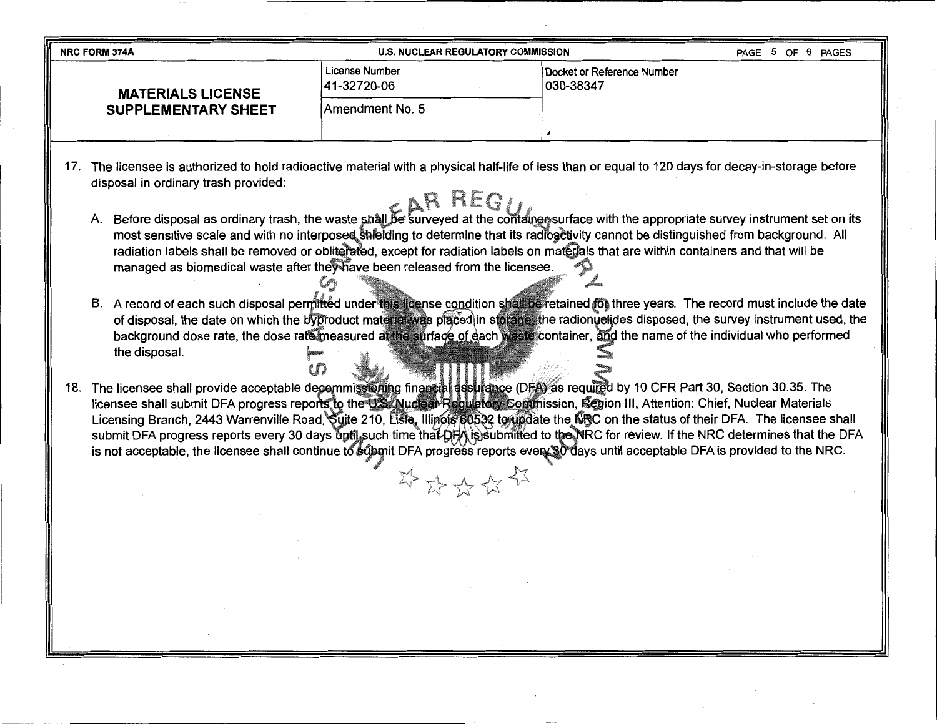|                            | <b>NRC FORM 374A</b>                                                                                                                            | <b>U.S. NUCLEAR REGULATORY COMMISSION</b> | 6 PAGES<br>PAGE 5 OF                       |  |  |  |  |  |
|----------------------------|-------------------------------------------------------------------------------------------------------------------------------------------------|-------------------------------------------|--------------------------------------------|--|--|--|--|--|
|                            | <b>MATERIALS LICENSE</b>                                                                                                                        | License Number<br>41-32720-06             | l Docket or Reference Number<br>1030-38347 |  |  |  |  |  |
| <b>SUPPLEMENTARY SHEET</b> |                                                                                                                                                 | IAmendment No. 5                          |                                            |  |  |  |  |  |
|                            |                                                                                                                                                 |                                           |                                            |  |  |  |  |  |
|                            | The licensee is authorized to hold radioactive material with a physical half-life of less than or equal to 120 days for decay-in-storage hefore |                                           |                                            |  |  |  |  |  |

17. The licensee is authorized to hold radioactive material with a physical half-life of less than or equal to 120 days for decay-in-storage before disposal in ordinary trash provided:

- A. Before disposal as ordinary trash, the waste shall be surveyed at the container surface with the appropriate survey instrument set on its most sensitive scale and with no interposed shielding to determine that its radioactivity cannot be distinguished from background. All radiation labels shall be removed or obliterated, except for radiation labels on materials that are within containers and that will be managed as biomedical waste after they have been released from the licensee. moved or obliterate<br>aste after they have
- B. A record of each such disposal permitted under this license condition shall be retained for three years. The record must include the date of disposal, the date on which the byproduct material was placed in storage, the radionyclides disposed, the survey instrument used, the or disposal, the date on which the byproduct material was placed in storage, the radionuesges disposed, the survey instrument used, t<br>background dose rate, the dose rate measured at the surface of each waste container, and the disposal.
- 18. The licensee shall provide acceptable decommissioning financial assurance (DFA) as required by 10 CFR Part 30, Section 30.35. The icensee shall submit DFA progress reports to the U.S. Nuclear Regulatory Commission, Region III, Attention: Chief, Nuclear Materials Licensing Branch, 2443 Warrenville Road, Suite 210, Lisle, Illinois 60532 to update the NRC on the status of their DFA. The licensee shall submit DFA progress reports every 30 days ūptil such time that DFA is)submitted to the NRC for review. If the NRC determines that the DFA is not acceptable, the licensee shall continue to superit DFA progress reports every 30 days until acceptable DFA is provided to the NRC.

学好好好好